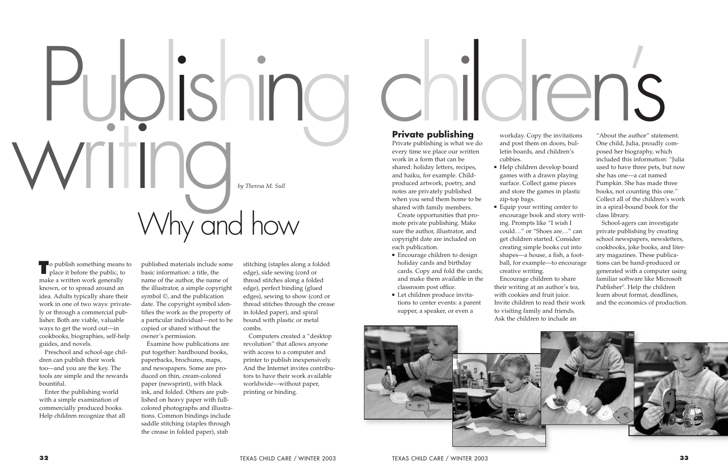**T** o publish something means to place it before the public, to place it before the public, to make a written work generally known, or to spread around an idea. Adults typically share their work in one of two ways: privately or through a commercial publisher. Both are viable, valuable ways to get the word out—in cookbooks, biographies, self-help guides, and novels.

Preschool and school-age children can publish their work too—and you are the key. The tools are simple and the rewards bountiful.

Enter the publishing world with a simple examination of commercially produced books. Help children recognize that all published materials include some basic information: a title, the name of the author, the name of the illustrator, a simple copyright symbol ©, and the publication date. The copyright symbol identifies the work as the property of a particular individual—not to be copied or shared without the owner's permission.

Examine how publications are put together: hardbound books, paperbacks, brochures, maps, and newspapers. Some are produced on thin, cream-colored paper (newsprint), with black ink, and folded. Others are published on heavy paper with fullcolored photographs and illustrations. Common bindings include saddle stitching (staples through the crease in folded paper), stab

- Encourage children to design holiday cards and birthday cards. Copy and fold the cards; and make them available in the classroom post office.
- Let children produce invitations to center events: a parent supper, a speaker, or even a

stitching (staples along a folded edge), side sewing (cord or thread stitches along a folded edge), perfect binding (glued edges), sewing to show (cord or thread stitches through the crease in folded paper), and spiral bound with plastic or metal combs.

- Help children develop board games with a drawn playing surface. Collect game pieces and store the games in plastic zip-top bags.
- Equip your writing center to encourage book and story writing. Prompts like "I wish I could…" or "Shoes are…" can get children started. Consider creating simple books cut into shapes—a house, a fish, a football, for example—to encourage creative writing.

Computers created a "desktop revolution" that allows anyone with access to a computer and printer to publish inexpensively. And the Internet invites contributors to have their work available worldwide—without paper, printing or binding.

# **Private publishing**

Private publishing is what we do every time we place our written work in a form that can be shared: holiday letters, recipes, and haiku, for example. Childproduced artwork, poetry, and notes are privately published when you send them home to be shared with family members.

Create opportunities that promote private publishing. Make sure the author, illustrator, and copyright date are included on each publication.

workday. Copy the invitations and post them on doors, bulletin boards, and children's cubbies.

Encourage children to share their writing at an author's tea, with cookies and fruit juice. Invite children to read their work to visiting family and friends. Ask the children to include an



"About the author" statement. One child, Julia, proudly composed her biography, which included this information: "Julia used to have three pets, but now she has one—a cat named Pumpkin. She has made three books, not counting this one." Collect all of the children's work in a spiral-bound book for the class library.

School-agers can investigate private publishing by creating school newspapers, newsletters, cookbooks, joke books, and literary magazines. These publications can be hand-produced or generated with a computer using familiar software like Microsoft Publisher®. Help the children learn about format, deadlines, and the economics of production.

# *by Theresa M. Sull* IDISh writing Why and how

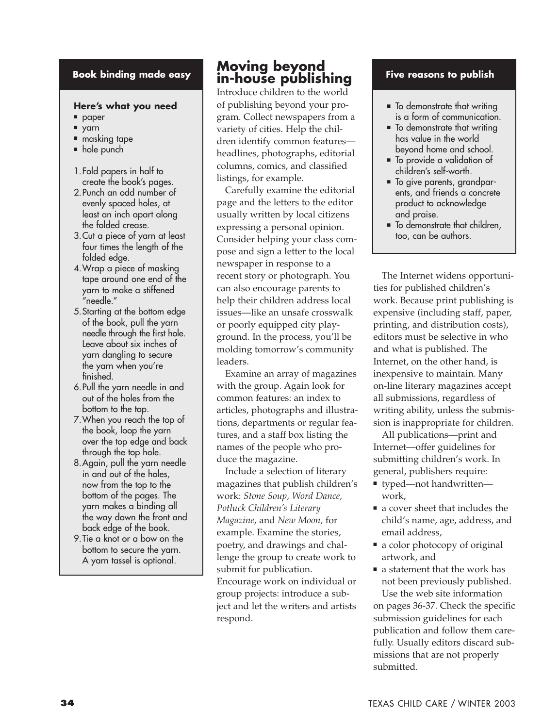#### **Book binding made easy**

#### **Here's what you need**

- paper
- yarn
- masking tape
- hole punch
- 1.Fold papers in half to create the book's pages.
- 2.Punch an odd number of evenly spaced holes, at least an inch apart along the folded crease.
- 3.Cut a piece of yarn at least four times the length of the folded edge.
- 4.Wrap a piece of masking tape around one end of the yarn to make a stiffened "needle."
- 5.Starting at the bottom edge of the book, pull the yarn needle through the first hole. Leave about six inches of yarn dangling to secure the yarn when you're finished.
- 6.Pull the yarn needle in and out of the holes from the bottom to the top.
- 7.When you reach the top of the book, loop the yarn over the top edge and back through the top hole.
- 8.Again, pull the yarn needle in and out of the holes, now from the top to the bottom of the pages. The yarn makes a binding all the way down the front and back edge of the book.
- 9.Tie a knot or a bow on the bottom to secure the yarn. A yarn tassel is optional.

# **Moving beyond in-house publishing**

Introduce children to the world of publishing beyond your program. Collect newspapers from a variety of cities. Help the children identify common features headlines, photographs, editorial columns, comics, and classified listings, for example.

Carefully examine the editorial page and the letters to the editor usually written by local citizens expressing a personal opinion. Consider helping your class compose and sign a letter to the local newspaper in response to a recent story or photograph. You can also encourage parents to help their children address local issues—like an unsafe crosswalk or poorly equipped city playground. In the process, you'll be molding tomorrow's community leaders.

Examine an array of magazines with the group. Again look for common features: an index to articles, photographs and illustrations, departments or regular features, and a staff box listing the names of the people who produce the magazine.

Include a selection of literary magazines that publish children's work: *Stone Soup, Word Dance, Potluck Children's Literary Magazine,* and *New Moon,* for example. Examine the stories, poetry, and drawings and challenge the group to create work to submit for publication. Encourage work on individual or group projects: introduce a subject and let the writers and artists respond.

#### **Five reasons to publish**

- To demonstrate that writing is a form of communication.
- To demonstrate that writing has value in the world beyond home and school.
- To provide a validation of children's self-worth.
- To give parents, grandparents, and friends a concrete product to acknowledge and praise.
- To demonstrate that children, too, can be authors.

The Internet widens opportunities for published children's work. Because print publishing is expensive (including staff, paper, printing, and distribution costs), editors must be selective in who and what is published. The Internet, on the other hand, is inexpensive to maintain. Many on-line literary magazines accept all submissions, regardless of writing ability, unless the submission is inappropriate for children.

All publications—print and Internet—offer guidelines for submitting children's work. In general, publishers require:

- typed—not handwritten work,
- a cover sheet that includes the child's name, age, address, and email address,
- a color photocopy of original artwork, and
- a statement that the work has not been previously published. Use the web site information

on pages 36-37. Check the specific submission guidelines for each publication and follow them carefully. Usually editors discard submissions that are not properly submitted.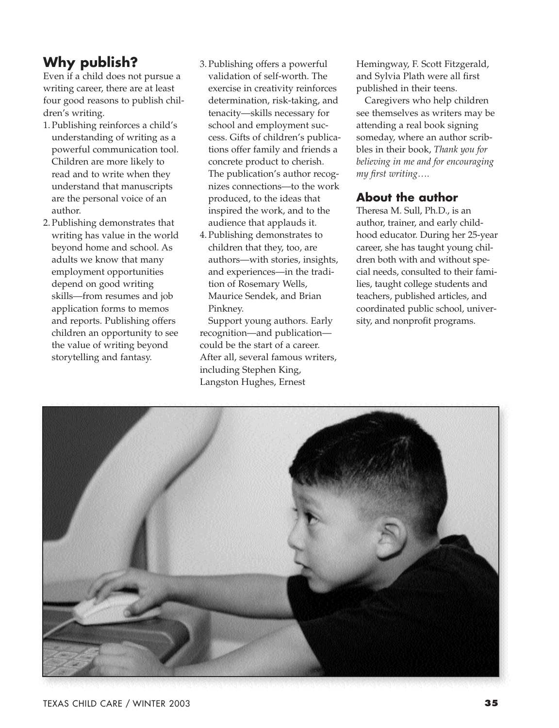# **Why publish?**

Even if a child does not pursue a writing career, there are at least four good reasons to publish children's writing.

- 1. Publishing reinforces a child's understanding of writing as a powerful communication tool. Children are more likely to read and to write when they understand that manuscripts are the personal voice of an author.
- 2. Publishing demonstrates that writing has value in the world beyond home and school. As adults we know that many employment opportunities depend on good writing skills—from resumes and job application forms to memos and reports. Publishing offers children an opportunity to see the value of writing beyond storytelling and fantasy.
- 3. Publishing offers a powerful validation of self-worth. The exercise in creativity reinforces determination, risk-taking, and tenacity—skills necessary for school and employment success. Gifts of children's publications offer family and friends a concrete product to cherish. The publication's author recognizes connections—to the work produced, to the ideas that inspired the work, and to the audience that applauds it.
- 4. Publishing demonstrates to children that they, too, are authors—with stories, insights, and experiences—in the tradition of Rosemary Wells, Maurice Sendek, and Brian Pinkney.

Support young authors. Early recognition—and publication could be the start of a career. After all, several famous writers, including Stephen King, Langston Hughes, Ernest

Hemingway, F. Scott Fitzgerald, and Sylvia Plath were all first published in their teens.

Caregivers who help children see themselves as writers may be attending a real book signing someday, where an author scribbles in their book, *Thank you for believing in me and for encouraging my first writing….*

## **About the author**

Theresa M. Sull, Ph.D., is an author, trainer, and early childhood educator. During her 25-year career, she has taught young children both with and without special needs, consulted to their families, taught college students and teachers, published articles, and coordinated public school, university, and nonprofit programs.

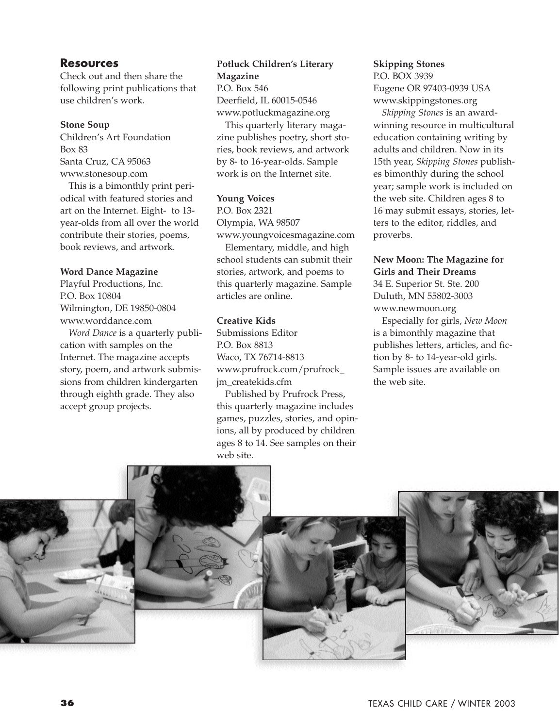#### **Resources**

Check out and then share the following print publications that use children's work.

#### **Stone Soup**

Children's Art Foundation Box 83 Santa Cruz, CA 95063 www.stonesoup.com

This is a bimonthly print periodical with featured stories and art on the Internet. Eight- to 13 year-olds from all over the world contribute their stories, poems, book reviews, and artwork.

#### **Word Dance Magazine**

Playful Productions, Inc. P.O. Box 10804 Wilmington, DE 19850-0804 www.worddance.com

*Word Dance* is a quarterly publication with samples on the Internet. The magazine accepts story, poem, and artwork submissions from children kindergarten through eighth grade. They also accept group projects.

## **Potluck Children's Literary Magazine**

P.O. Box 546 Deerfield, IL 60015-0546 www.potluckmagazine.org

This quarterly literary magazine publishes poetry, short stories, book reviews, and artwork by 8- to 16-year-olds. Sample work is on the Internet site.

#### **Young Voices**

P.O. Box 2321 Olympia, WA 98507 www.youngvoicesmagazine.com

Elementary, middle, and high school students can submit their stories, artwork, and poems to this quarterly magazine. Sample articles are online.

#### **Creative Kids**

Submissions Editor P.O. Box 8813 Waco, TX 76714-8813 www.prufrock.com/prufrock\_ jm\_createkids.cfm

Published by Prufrock Press, this quarterly magazine includes games, puzzles, stories, and opinions, all by produced by children ages 8 to 14. See samples on their web site.

#### **Skipping Stones**  P.O. BOX 3939

Eugene OR 97403-0939 USA www.skippingstones.org

*Skipping Stones* is an awardwinning resource in multicultural education containing writing by adults and children. Now in its 15th year, *Skipping Stones* publishes bimonthly during the school year; sample work is included on the web site. Children ages 8 to 16 may submit essays, stories, letters to the editor, riddles, and proverbs.

# **New Moon: The Magazine for Girls and Their Dreams**

34 E. Superior St. Ste. 200 Duluth, MN 55802-3003 www.newmoon.org

Especially for girls, *New Moon* is a bimonthly magazine that publishes letters, articles, and fiction by 8- to 14-year-old girls. Sample issues are available on the web site.